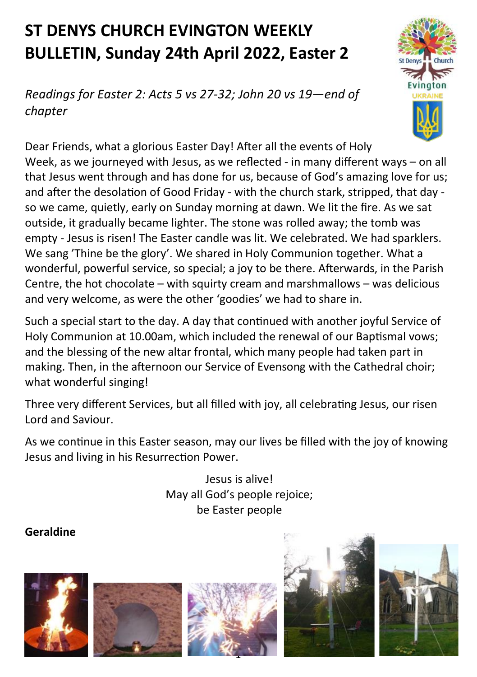# **ST DENYS CHURCH EVINGTON WEEKLY BULLETIN, Sunday 24th April 2022, Easter 2**

*Readings for Easter 2: Acts 5 vs 27-32; John 20 vs 19—end of chapter*



Dear Friends, what a glorious Easter Day! After all the events of Holy Week, as we journeyed with Jesus, as we reflected - in many different ways – on all that Jesus went through and has done for us, because of God's amazing love for us; and after the desolation of Good Friday - with the church stark, stripped, that day so we came, quietly, early on Sunday morning at dawn. We lit the fire. As we sat outside, it gradually became lighter. The stone was rolled away; the tomb was empty - Jesus is risen! The Easter candle was lit. We celebrated. We had sparklers. We sang 'Thine be the glory'. We shared in Holy Communion together. What a wonderful, powerful service, so special; a joy to be there. Afterwards, in the Parish Centre, the hot chocolate – with squirty cream and marshmallows – was delicious and very welcome, as were the other 'goodies' we had to share in.

Such a special start to the day. A day that continued with another joyful Service of Holy Communion at 10.00am, which included the renewal of our Baptismal vows; and the blessing of the new altar frontal, which many people had taken part in making. Then, in the afternoon our Service of Evensong with the Cathedral choir; what wonderful singing!

Three very different Services, but all filled with joy, all celebrating Jesus, our risen Lord and Saviour.

As we continue in this Easter season, may our lives be filled with the joy of knowing Jesus and living in his Resurrection Power.

> Jesus is alive! May all God's people rejoice; be Easter people

#### **Geraldine**









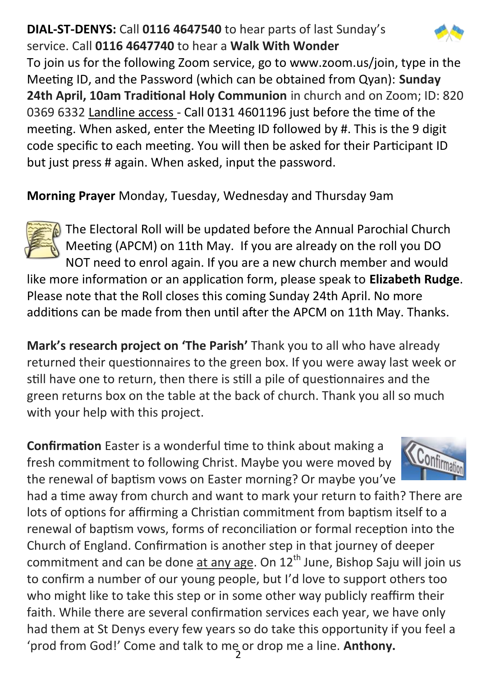### **DIAL-ST-DENYS:** Call **0116 4647540** to hear parts of last Sunday's service. Call **0116 4647740** to hear a **Walk With Wonder**



To join us for the following Zoom service, go to www.zoom.us/join, type in the Meeting ID, and the Password (which can be obtained from Qyan): **Sunday 24th April, 10am Traditional Holy Communion** in church and on Zoom; ID: 820 0369 6332 Landline access - Call 0131 4601196 just before the time of the meeting. When asked, enter the Meeting ID followed by #. This is the 9 digit code specific to each meeting. You will then be asked for their Participant ID but just press # again. When asked, input the password.

**Morning Prayer** Monday, Tuesday, Wednesday and Thursday 9am



The Electoral Roll will be updated before the Annual Parochial Church Meeting (APCM) on 11th May. If you are already on the roll you DO NOT need to enrol again. If you are a new church member and would

like more information or an application form, please speak to **Elizabeth Rudge**. Please note that the Roll closes this coming Sunday 24th April. No more additions can be made from then until after the APCM on 11th May. Thanks.

**Mark's research project on 'The Parish'** Thank you to all who have already returned their questionnaires to the green box. If you were away last week or still have one to return, then there is still a pile of questionnaires and the green returns box on the table at the back of church. Thank you all so much with your help with this project.

**Confirmation** Easter is a wonderful time to think about making a fresh commitment to following Christ. Maybe you were moved by the renewal of baptism vows on Easter morning? Or maybe you've



2 'prod from God!' Come and talk to me or drop me a line. **Anthony.**had a time away from church and want to mark your return to faith? There are lots of options for affirming a Christian commitment from baptism itself to a renewal of baptism vows, forms of reconciliation or formal reception into the Church of England. Confirmation is another step in that journey of deeper commitment and can be done at any age. On  $12<sup>th</sup>$  June, Bishop Saju will join us to confirm a number of our young people, but I'd love to support others too who might like to take this step or in some other way publicly reaffirm their faith. While there are several confirmation services each year, we have only had them at St Denys every few years so do take this opportunity if you feel a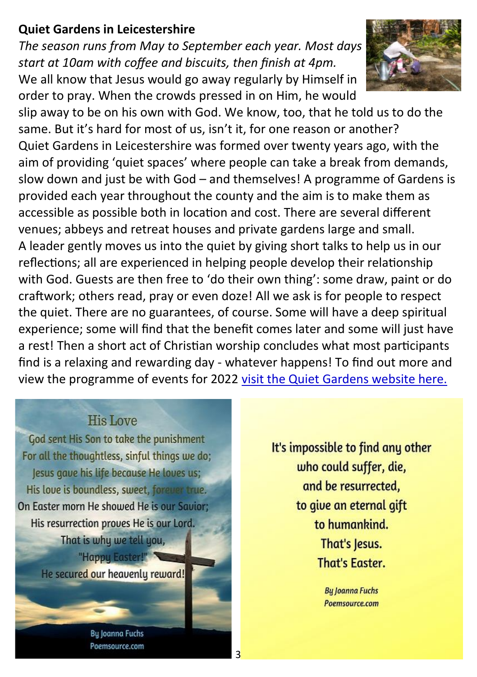#### **Quiet Gardens in Leicestershire**

*The season runs from May to September each year. Most days start at 10am with coffee and biscuits, then finish at 4pm.* We all know that Jesus would go away regularly by Himself in order to pray. When the crowds pressed in on Him, he would



slip away to be on his own with God. We know, too, that he told us to do the same. But it's hard for most of us, isn't it, for one reason or another? Quiet Gardens in Leicestershire was formed over twenty years ago, with the aim of providing 'quiet spaces' where people can take a break from demands, slow down and just be with God – and themselves! A programme of Gardens is provided each year throughout the county and the aim is to make them as accessible as possible both in location and cost. There are several different venues; abbeys and retreat houses and private gardens large and small. A leader gently moves us into the quiet by giving short talks to help us in our reflections; all are experienced in helping people develop their relationship with God. Guests are then free to 'do their own thing': some draw, paint or do craftwork; others read, pray or even doze! All we ask is for people to respect the quiet. There are no guarantees, of course. Some will have a deep spiritual experience; some will find that the benefit comes later and some will just have a rest! Then a short act of Christian worship concludes what most participants find is a relaxing and rewarding day - whatever happens! To find out more and view the programme of events for 2022 [visit the Quiet Gardens website here.](https://anglican.us5.list-manage.com/track/click?u=636069b749b52b6445d4ebe93&id=15df48064d&e=3760f656ee)

3

#### **His Love**

God sent His Son to take the punishment For all the thoughtless, sinful things we do; Jesus gave his life because He loves us; His love is boundless, sweet, forever true. On Easter morn He showed He is our Savior: His resurrection proves He is our Lord. That is why we tell you, "Happy Easter!"

He secured our heavenly reward!

It's impossible to find any other who could suffer, die, and be resurrected, to give an eternal gift to humankind. That's Jesus. **That's Easter.** 

> **Bu Joanna Fuchs** Poemsource.com

**Bu Joanna Fuchs** Poemsource.com